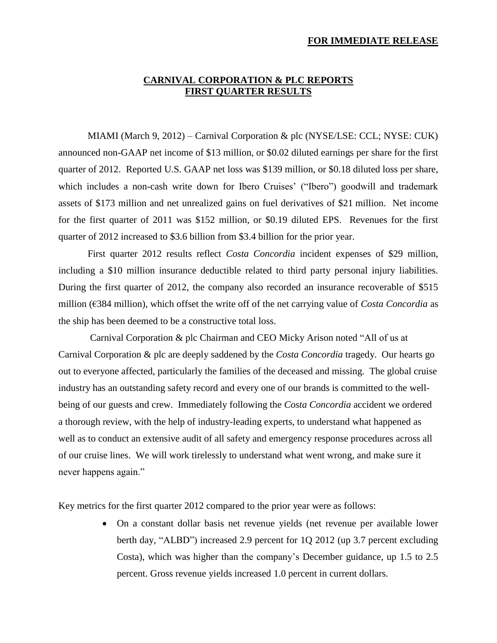#### **FOR IMMEDIATE RELEASE**

# **CARNIVAL CORPORATION & PLC REPORTS FIRST QUARTER RESULTS**

MIAMI (March 9, 2012) – Carnival Corporation & plc (NYSE/LSE: CCL; NYSE: CUK) announced non-GAAP net income of \$13 million, or \$0.02 diluted earnings per share for the first quarter of 2012. Reported U.S. GAAP net loss was \$139 million, or \$0.18 diluted loss per share, which includes a non-cash write down for Ibero Cruises' ("Ibero") goodwill and trademark assets of \$173 million and net unrealized gains on fuel derivatives of \$21 million. Net income for the first quarter of 2011 was \$152 million, or \$0.19 diluted EPS. Revenues for the first quarter of 2012 increased to \$3.6 billion from \$3.4 billion for the prior year.

First quarter 2012 results reflect *Costa Concordia* incident expenses of \$29 million, including a \$10 million insurance deductible related to third party personal injury liabilities. During the first quarter of 2012, the company also recorded an insurance recoverable of \$515 million (€384 million), which offset the write off of the net carrying value of *Costa Concordia* as the ship has been deemed to be a constructive total loss.

Carnival Corporation & plc Chairman and CEO Micky Arison noted "All of us at Carnival Corporation & plc are deeply saddened by the *Costa Concordia* tragedy. Our hearts go out to everyone affected, particularly the families of the deceased and missing. The global cruise industry has an outstanding safety record and every one of our brands is committed to the wellbeing of our guests and crew. Immediately following the *Costa Concordia* accident we ordered a thorough review, with the help of industry-leading experts, to understand what happened as well as to conduct an extensive audit of all safety and emergency response procedures across all of our cruise lines. We will work tirelessly to understand what went wrong, and make sure it never happens again."

Key metrics for the first quarter 2012 compared to the prior year were as follows:

 On a constant dollar basis net revenue yields (net revenue per available lower berth day, "ALBD") increased 2.9 percent for 1Q 2012 (up 3.7 percent excluding Costa), which was higher than the company's December guidance, up 1.5 to 2.5 percent. Gross revenue yields increased 1.0 percent in current dollars.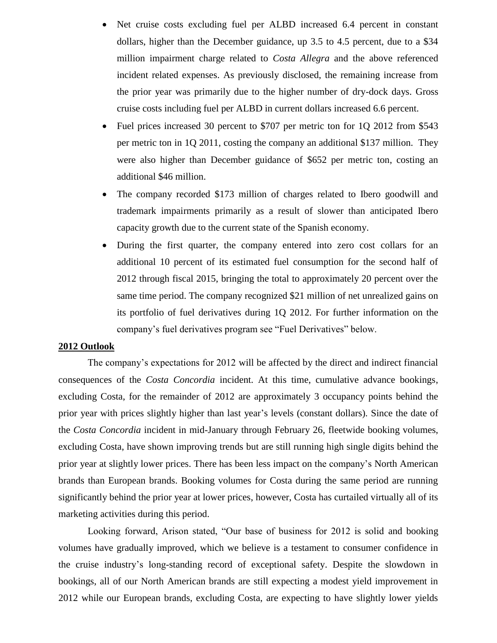- Net cruise costs excluding fuel per ALBD increased 6.4 percent in constant dollars, higher than the December guidance, up 3.5 to 4.5 percent, due to a \$34 million impairment charge related to *Costa Allegra* and the above referenced incident related expenses. As previously disclosed, the remaining increase from the prior year was primarily due to the higher number of dry-dock days. Gross cruise costs including fuel per ALBD in current dollars increased 6.6 percent.
- Fuel prices increased 30 percent to \$707 per metric ton for 1Q 2012 from \$543 per metric ton in 1Q 2011, costing the company an additional \$137 million. They were also higher than December guidance of \$652 per metric ton, costing an additional \$46 million.
- The company recorded \$173 million of charges related to Ibero goodwill and trademark impairments primarily as a result of slower than anticipated Ibero capacity growth due to the current state of the Spanish economy.
- During the first quarter, the company entered into zero cost collars for an additional 10 percent of its estimated fuel consumption for the second half of 2012 through fiscal 2015, bringing the total to approximately 20 percent over the same time period. The company recognized \$21 million of net unrealized gains on its portfolio of fuel derivatives during 1Q 2012. For further information on the company's fuel derivatives program see "Fuel Derivatives" below.

# **2012 Outlook**

The company's expectations for 2012 will be affected by the direct and indirect financial consequences of the *Costa Concordia* incident. At this time, cumulative advance bookings, excluding Costa, for the remainder of 2012 are approximately 3 occupancy points behind the prior year with prices slightly higher than last year's levels (constant dollars). Since the date of the *Costa Concordia* incident in mid-January through February 26, fleetwide booking volumes, excluding Costa, have shown improving trends but are still running high single digits behind the prior year at slightly lower prices. There has been less impact on the company's North American brands than European brands. Booking volumes for Costa during the same period are running significantly behind the prior year at lower prices, however, Costa has curtailed virtually all of its marketing activities during this period.

Looking forward, Arison stated, "Our base of business for 2012 is solid and booking volumes have gradually improved, which we believe is a testament to consumer confidence in the cruise industry's long-standing record of exceptional safety. Despite the slowdown in bookings, all of our North American brands are still expecting a modest yield improvement in 2012 while our European brands, excluding Costa, are expecting to have slightly lower yields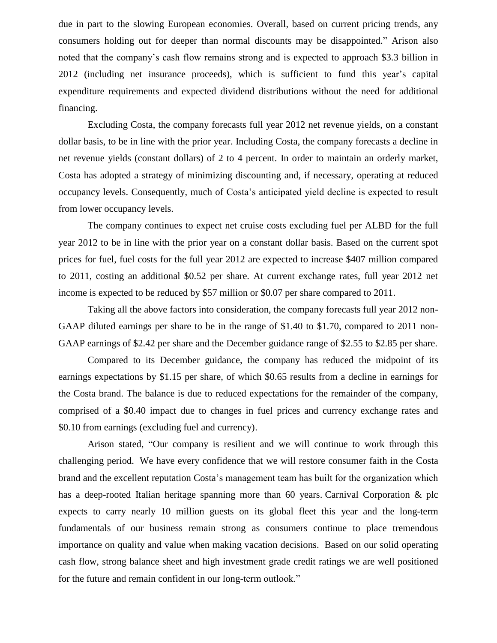due in part to the slowing European economies. Overall, based on current pricing trends, any consumers holding out for deeper than normal discounts may be disappointed." Arison also noted that the company's cash flow remains strong and is expected to approach \$3.3 billion in 2012 (including net insurance proceeds), which is sufficient to fund this year's capital expenditure requirements and expected dividend distributions without the need for additional financing.

Excluding Costa, the company forecasts full year 2012 net revenue yields, on a constant dollar basis, to be in line with the prior year. Including Costa, the company forecasts a decline in net revenue yields (constant dollars) of 2 to 4 percent. In order to maintain an orderly market, Costa has adopted a strategy of minimizing discounting and, if necessary, operating at reduced occupancy levels. Consequently, much of Costa's anticipated yield decline is expected to result from lower occupancy levels.

The company continues to expect net cruise costs excluding fuel per ALBD for the full year 2012 to be in line with the prior year on a constant dollar basis. Based on the current spot prices for fuel, fuel costs for the full year 2012 are expected to increase \$407 million compared to 2011, costing an additional \$0.52 per share. At current exchange rates, full year 2012 net income is expected to be reduced by \$57 million or \$0.07 per share compared to 2011.

Taking all the above factors into consideration, the company forecasts full year 2012 non-GAAP diluted earnings per share to be in the range of \$1.40 to \$1.70, compared to 2011 non-GAAP earnings of \$2.42 per share and the December guidance range of \$2.55 to \$2.85 per share.

Compared to its December guidance, the company has reduced the midpoint of its earnings expectations by \$1.15 per share, of which \$0.65 results from a decline in earnings for the Costa brand. The balance is due to reduced expectations for the remainder of the company, comprised of a \$0.40 impact due to changes in fuel prices and currency exchange rates and \$0.10 from earnings (excluding fuel and currency).

Arison stated, "Our company is resilient and we will continue to work through this challenging period. We have every confidence that we will restore consumer faith in the Costa brand and the excellent reputation Costa's management team has built for the organization which has a deep-rooted Italian heritage spanning more than 60 years. Carnival Corporation & plc expects to carry nearly 10 million guests on its global fleet this year and the long-term fundamentals of our business remain strong as consumers continue to place tremendous importance on quality and value when making vacation decisions. Based on our solid operating cash flow, strong balance sheet and high investment grade credit ratings we are well positioned for the future and remain confident in our long-term outlook."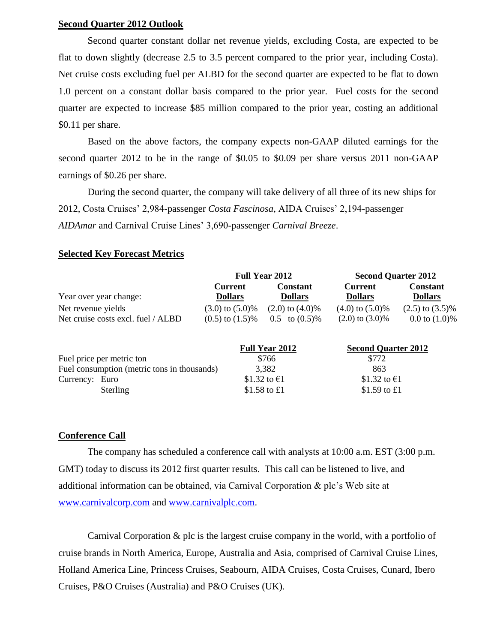## **Second Quarter 2012 Outlook**

Second quarter constant dollar net revenue yields, excluding Costa, are expected to be flat to down slightly (decrease 2.5 to 3.5 percent compared to the prior year, including Costa). Net cruise costs excluding fuel per ALBD for the second quarter are expected to be flat to down 1.0 percent on a constant dollar basis compared to the prior year. Fuel costs for the second quarter are expected to increase \$85 million compared to the prior year, costing an additional \$0.11 per share.

Based on the above factors, the company expects non-GAAP diluted earnings for the second quarter 2012 to be in the range of \$0.05 to \$0.09 per share versus 2011 non-GAAP earnings of \$0.26 per share.

During the second quarter, the company will take delivery of all three of its new ships for 2012, Costa Cruises' 2,984-passenger *Costa Fascinosa*, AIDA Cruises' 2,194-passenger *AIDAmar* and Carnival Cruise Lines' 3,690-passenger *Carnival Breeze*.

# **Selected Key Forecast Metrics**

|                                             | <b>Full Year 2012</b>            |                                   | <b>Second Quarter 2012</b>       |                                   |
|---------------------------------------------|----------------------------------|-----------------------------------|----------------------------------|-----------------------------------|
| Year over year change:                      | <b>Current</b><br><b>Dollars</b> | <b>Constant</b><br><b>Dollars</b> | <b>Current</b><br><b>Dollars</b> | <b>Constant</b><br><b>Dollars</b> |
| Net revenue yields                          | $(3.0)$ to $(5.0)$ %             | $(2.0)$ to $(4.0)\%$              | $(4.0)$ to $(5.0)$ %             | $(2.5)$ to $(3.5)\%$              |
| Net cruise costs excl. fuel / ALBD          | $(0.5)$ to $(1.5)\%$             | $0.5$ to $(0.5)\%$                | $(2.0)$ to $(3.0)\%$             | $0.0 \text{ to } (1.0)\%$         |
|                                             |                                  | <b>Full Year 2012</b>             | <b>Second Quarter 2012</b>       |                                   |
| Fuel price per metric ton                   |                                  | \$766                             | \$772                            |                                   |
| Fuel consumption (metric tons in thousands) |                                  | 3,382                             | 863                              |                                   |
| Currency: Euro                              |                                  | \$1.32 to €1                      | \$1.32 to €1                     |                                   |

Sterling  $$1.58$  to £1  $$1.59$  to £1

## **Conference Call**

The company has scheduled a conference call with analysts at 10:00 a.m. EST (3:00 p.m. GMT) today to discuss its 2012 first quarter results. This call can be listened to live, and additional information can be obtained, via Carnival Corporation & plc's Web site at [www.carnivalcorp.com](http://www.carnivalcorp.com/) and [www.carnivalplc.com.](http://www.carnivalplc.com/)

Carnival Corporation & plc is the largest cruise company in the world, with a portfolio of cruise brands in North America, Europe, Australia and Asia, comprised of Carnival Cruise Lines, Holland America Line, Princess Cruises, Seabourn, AIDA Cruises, Costa Cruises, Cunard, Ibero Cruises, P&O Cruises (Australia) and P&O Cruises (UK).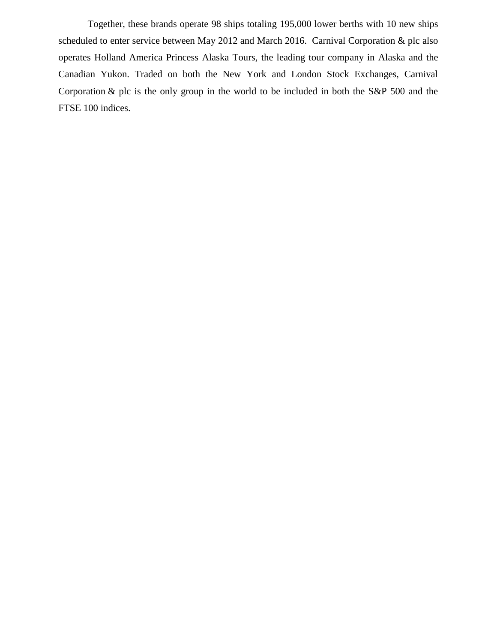Together, these brands operate 98 ships totaling 195,000 lower berths with 10 new ships scheduled to enter service between May 2012 and March 2016. Carnival Corporation & plc also operates Holland America Princess Alaska Tours, the leading tour company in Alaska and the Canadian Yukon. Traded on both the New York and London Stock Exchanges, Carnival Corporation & plc is the only group in the world to be included in both the S&P 500 and the FTSE 100 indices.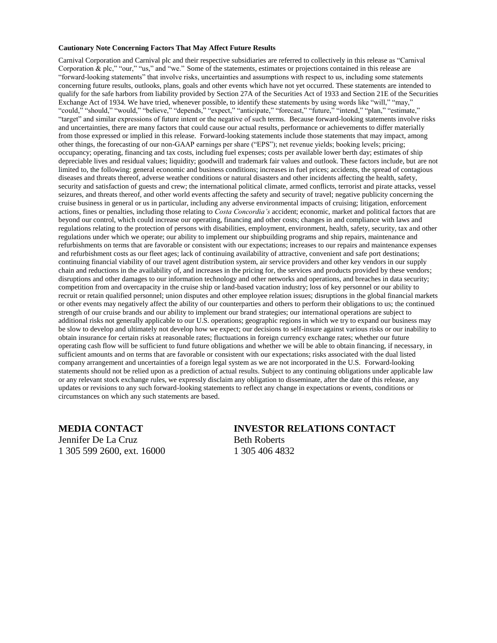#### **Cautionary Note Concerning Factors That May Affect Future Results**

Carnival Corporation and Carnival plc and their respective subsidiaries are referred to collectively in this release as "Carnival Corporation & plc," "our," "us," and "we." Some of the statements, estimates or projections contained in this release are "forward-looking statements" that involve risks, uncertainties and assumptions with respect to us, including some statements concerning future results, outlooks, plans, goals and other events which have not yet occurred. These statements are intended to qualify for the safe harbors from liability provided by Section 27A of the Securities Act of 1933 and Section 21E of the Securities Exchange Act of 1934. We have tried, whenever possible, to identify these statements by using words like "will," "may," "could," "should," "would," "believe," "depends," "expect," "anticipate," "forecast," "future," "intend," "plan," "estimate," "target" and similar expressions of future intent or the negative of such terms. Because forward-looking statements involve risks and uncertainties, there are many factors that could cause our actual results, performance or achievements to differ materially from those expressed or implied in this release. Forward-looking statements include those statements that may impact, among other things, the forecasting of our non-GAAP earnings per share ("EPS"); net revenue yields; booking levels; pricing; occupancy; operating, financing and tax costs, including fuel expenses; costs per available lower berth day; estimates of ship depreciable lives and residual values; liquidity; goodwill and trademark fair values and outlook. These factors include, but are not limited to, the following: general economic and business conditions; increases in fuel prices; accidents, the spread of contagious diseases and threats thereof, adverse weather conditions or natural disasters and other incidents affecting the health, safety, security and satisfaction of guests and crew; the international political climate, armed conflicts, terrorist and pirate attacks, vessel seizures, and threats thereof, and other world events affecting the safety and security of travel; negative publicity concerning the cruise business in general or us in particular, including any adverse environmental impacts of cruising; litigation, enforcement actions, fines or penalties, including those relating to *Costa Concordia's* accident; economic, market and political factors that are beyond our control, which could increase our operating, financing and other costs; changes in and compliance with laws and regulations relating to the protection of persons with disabilities, employment, environment, health, safety, security, tax and other regulations under which we operate; our ability to implement our shipbuilding programs and ship repairs, maintenance and refurbishments on terms that are favorable or consistent with our expectations; increases to our repairs and maintenance expenses and refurbishment costs as our fleet ages; lack of continuing availability of attractive, convenient and safe port destinations; continuing financial viability of our travel agent distribution system, air service providers and other key vendors in our supply chain and reductions in the availability of, and increases in the pricing for, the services and products provided by these vendors; disruptions and other damages to our information technology and other networks and operations, and breaches in data security; competition from and overcapacity in the cruise ship or land-based vacation industry; loss of key personnel or our ability to recruit or retain qualified personnel; union disputes and other employee relation issues; disruptions in the global financial markets or other events may negatively affect the ability of our counterparties and others to perform their obligations to us; the continued strength of our cruise brands and our ability to implement our brand strategies; our international operations are subject to additional risks not generally applicable to our U.S. operations; geographic regions in which we try to expand our business may be slow to develop and ultimately not develop how we expect; our decisions to self-insure against various risks or our inability to obtain insurance for certain risks at reasonable rates; fluctuations in foreign currency exchange rates; whether our future operating cash flow will be sufficient to fund future obligations and whether we will be able to obtain financing, if necessary, in sufficient amounts and on terms that are favorable or consistent with our expectations; risks associated with the dual listed company arrangement and uncertainties of a foreign legal system as we are not incorporated in the U.S. Forward-looking statements should not be relied upon as a prediction of actual results. Subject to any continuing obligations under applicable law or any relevant stock exchange rules, we expressly disclaim any obligation to disseminate, after the date of this release, any updates or revisions to any such forward-looking statements to reflect any change in expectations or events, conditions or circumstances on which any such statements are based.

Jennifer De La Cruz Beth Roberts 1 305 599 2600, ext. 16000 1 305 406 4832

**MEDIA CONTACT INVESTOR RELATIONS CONTACT**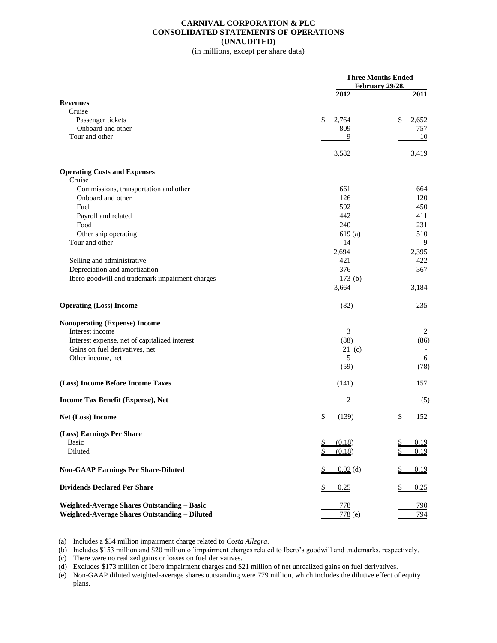## **CARNIVAL CORPORATION & PLC CONSOLIDATED STATEMENTS OF OPERATIONS (UNAUDITED)**

(in millions, except per share data)

|                                                    |                     | <b>Three Months Ended</b><br>February 29/28, |
|----------------------------------------------------|---------------------|----------------------------------------------|
|                                                    | 2012                | 2011                                         |
| <b>Revenues</b><br>Cruise                          |                     |                                              |
| Passenger tickets                                  | \$<br>2,764         | \$<br>2,652                                  |
| Onboard and other                                  | 809                 | 757                                          |
| Tour and other                                     | 9                   | 10                                           |
|                                                    |                     |                                              |
|                                                    | 3,582               | 3,419                                        |
| <b>Operating Costs and Expenses</b>                |                     |                                              |
| Cruise                                             |                     |                                              |
| Commissions, transportation and other              | 661                 | 664                                          |
| Onboard and other<br>Fuel                          | 126<br>592          | 120<br>450                                   |
|                                                    | 442                 | 411                                          |
| Payroll and related<br>Food                        | 240                 | 231                                          |
| Other ship operating                               | 619(a)              | 510                                          |
| Tour and other                                     | 14                  | $\overline{9}$                               |
|                                                    | 2,694               | 2,395                                        |
| Selling and administrative                         | 421                 | 422                                          |
| Depreciation and amortization                      | 376                 | 367                                          |
| Ibero goodwill and trademark impairment charges    | 173(b)              |                                              |
|                                                    | 3,664               | 3,184                                        |
| <b>Operating (Loss) Income</b>                     | (82)                | 235                                          |
| <b>Nonoperating (Expense) Income</b>               |                     |                                              |
| Interest income                                    | 3                   | 2                                            |
| Interest expense, net of capitalized interest      | (88)                | (86)                                         |
| Gains on fuel derivatives, net                     | 21(c)               |                                              |
| Other income, net                                  | 5                   | <u>6</u>                                     |
|                                                    | (59)                | (78)                                         |
| (Loss) Income Before Income Taxes                  | (141)               | 157                                          |
| <b>Income Tax Benefit (Expense), Net</b>           | $\overline{2}$      | (5)                                          |
| Net (Loss) Income                                  | (139)               | <u>152</u><br>\$                             |
| (Loss) Earnings Per Share                          |                     |                                              |
| Basic                                              | <u>\$</u><br>(0.18) | $\overline{\mathbb{Z}}$<br>0.19              |
| Diluted                                            | (0.18)              | \$<br>0.19                                   |
| <b>Non-GAAP Earnings Per Share-Diluted</b>         | $0.02$ (d)<br>\$    | <u>\$</u><br>0.19                            |
| <b>Dividends Declared Per Share</b>                | 0.25<br>S           | 0.25<br>\$                                   |
| <b>Weighted-Average Shares Outstanding - Basic</b> | 778                 | 790                                          |
| Weighted-Average Shares Outstanding - Diluted      | $778$ (e)           | 794                                          |

(a) Includes a \$34 million impairment charge related to *Costa Allegra*.

(b) Includes \$153 million and \$20 million of impairment charges related to Ibero's goodwill and trademarks, respectively.

(c) There were no realized gains or losses on fuel derivatives.

(d) Excludes \$173 million of Ibero impairment charges and \$21 million of net unrealized gains on fuel derivatives.

(e) Non-GAAP diluted weighted-average shares outstanding were 779 million, which includes the dilutive effect of equity plans.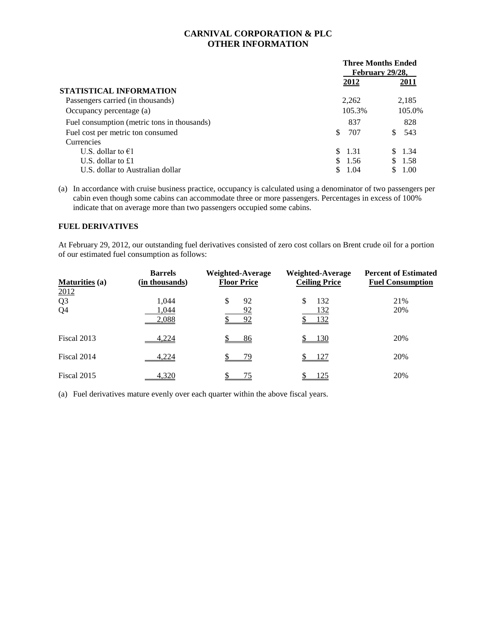# **CARNIVAL CORPORATION & PLC OTHER INFORMATION**

|                                             | <b>Three Months Ended</b><br>February 29/28, |        |     |         |
|---------------------------------------------|----------------------------------------------|--------|-----|---------|
|                                             |                                              | 2012   |     | 2011    |
| STATISTICAL INFORMATION                     |                                              |        |     |         |
| Passengers carried (in thousands)           |                                              | 2,262  |     | 2,185   |
| Occupancy percentage (a)                    |                                              | 105.3% |     | 105.0%  |
| Fuel consumption (metric tons in thousands) |                                              | 837    |     | 828     |
| Fuel cost per metric ton consumed           | \$.                                          | 707    | SS. | 543     |
| Currencies                                  |                                              |        |     |         |
| U.S. dollar to $\epsilon$ 1                 |                                              | \$1.31 |     | \$ 1.34 |
| U.S. dollar to $£1$                         |                                              | \$1.56 |     | \$1.58  |
| U.S. dollar to Australian dollar            |                                              | 1.04   | S   | 1.00    |

(a) In accordance with cruise business practice, occupancy is calculated using a denominator of two passengers per cabin even though some cabins can accommodate three or more passengers. Percentages in excess of 100% indicate that on average more than two passengers occupied some cabins.

#### **FUEL DERIVATIVES**

At February 29, 2012, our outstanding fuel derivatives consisted of zero cost collars on Brent crude oil for a portion of our estimated fuel consumption as follows:

| <b>Maturities</b> (a)                    | <b>Barrels</b><br>(in thousands) | <b>Weighted-Average</b><br><b>Floor Price</b> | <b>Weighted-Average</b><br><b>Ceiling Price</b> | <b>Percent of Estimated</b><br><b>Fuel Consumption</b> |
|------------------------------------------|----------------------------------|-----------------------------------------------|-------------------------------------------------|--------------------------------------------------------|
| 2012<br>Q <sub>3</sub><br>Q <sub>4</sub> | 1.044<br>1,044<br>2,088          | \$<br>92<br>92<br>92                          | \$<br>132<br>132<br>132                         | 21%<br>20%                                             |
| Fiscal 2013                              | 4,224                            | 86                                            | 130                                             | 20%                                                    |
| Fiscal 2014                              | 4,224                            | 79                                            | 127                                             | 20%                                                    |
| Fiscal 2015                              | 4,320                            | 75                                            | 125                                             | 20%                                                    |

(a) Fuel derivatives mature evenly over each quarter within the above fiscal years.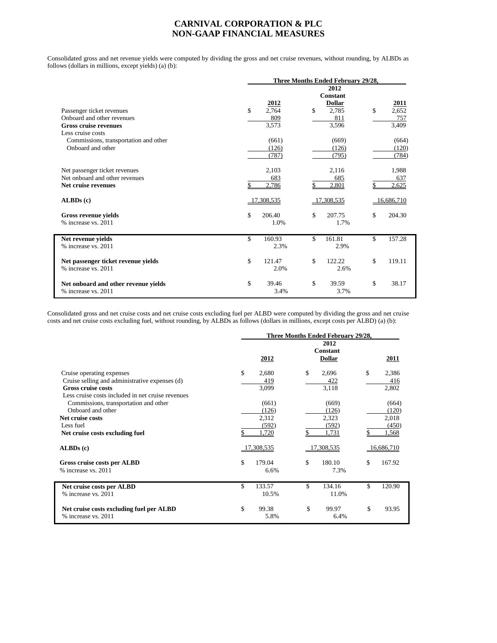## **CARNIVAL CORPORATION & PLC NON-GAAP FINANCIAL MEASURES**

Consolidated gross and net revenue yields were computed by dividing the gross and net cruise revenues, without rounding, by ALBDs as follows (dollars in millions, except yields) (a) (b):

|                                       | Three Months Ended February 29/28, |               |              |
|---------------------------------------|------------------------------------|---------------|--------------|
|                                       |                                    | 2012          |              |
|                                       |                                    | Constant      |              |
|                                       | 2012                               | <b>Dollar</b> | 2011         |
| Passenger ticket revenues             | \$<br>2,764                        | \$<br>2,785   | \$<br>2,652  |
| Onboard and other revenues            | 809                                | 811           | 757          |
| <b>Gross cruise revenues</b>          | 3,573                              | 3,596         | 3,409        |
| Less cruise costs                     |                                    |               |              |
| Commissions, transportation and other | (661)                              | (669)         | (664)        |
| Onboard and other                     | (126)                              | (126)         | (120)        |
|                                       | (787)                              | (795)         | (784)        |
|                                       |                                    |               |              |
| Net passenger ticket revenues         | 2,103                              | 2,116         | 1,988        |
| Net onboard and other revenues        | 683                                | 685           | 637          |
| Net cruise revenues                   | 2,786                              | 2,801         | 2,625        |
| ALBDs(c)                              |                                    | 17,308,535    | 16,686,710   |
|                                       | 17,308,535                         |               |              |
| Gross revenue yields                  | \$<br>206.40                       | \$<br>207.75  | \$<br>204.30 |
| % increase vs. 2011                   | 1.0%                               | 1.7%          |              |
|                                       |                                    |               |              |
| Net revenue yields                    | \$<br>160.93                       | \$<br>161.81  | \$<br>157.28 |
| % increase vs. 2011                   | 2.3%                               | 2.9%          |              |
|                                       |                                    |               |              |
| Net passenger ticket revenue yields   | \$<br>121.47                       | \$<br>122.22  | \$<br>119.11 |
| % increase vs. 2011                   | 2.0%                               | 2.6%          |              |
|                                       |                                    |               |              |
| Net onboard and other revenue yields  | \$<br>39.46                        | \$<br>39.59   | \$<br>38.17  |
| % increase vs. 2011                   | 3.4%                               | 3.7%          |              |

Consolidated gross and net cruise costs and net cruise costs excluding fuel per ALBD were computed by dividing the gross and net cruise costs and net cruise costs excluding fuel, without rounding, by ALBDs as follows (dollars in millions, except costs per ALBD) (a) (b):

|                                                                                                                                     | Three Months Ended February 29/28, |                                          |                             |
|-------------------------------------------------------------------------------------------------------------------------------------|------------------------------------|------------------------------------------|-----------------------------|
|                                                                                                                                     | 2012                               | 2012<br><b>Constant</b><br><b>Dollar</b> | 2011                        |
| Cruise operating expenses<br>Cruise selling and administrative expenses (d)<br><b>Gross cruise costs</b>                            | \$<br>2,680<br>419<br>3,099        | \$<br>2,696<br>422<br>3,118              | \$<br>2,386<br>416<br>2,802 |
| Less cruise costs included in net cruise revenues<br>Commissions, transportation and other<br>Onboard and other<br>Net cruise costs | (661)<br>(126)<br>2,312            | (669)<br>(126)<br>2,323                  | (664)<br>(120)<br>2,018     |
| Less fuel<br>Net cruise costs excluding fuel                                                                                        | (592)<br>1,720                     | (592)<br>1,731                           | (450)<br>1,568              |
| ALBDs(c)                                                                                                                            | <u>17,308,535</u>                  | 7,308,535                                | 16,686,710                  |
| Gross cruise costs per ALBD<br>% increase vs. 2011                                                                                  | \$<br>179.04<br>6.6%               | \$<br>180.10<br>7.3%                     | \$<br>167.92                |
| Net cruise costs per ALBD<br>% increase vs. 2011                                                                                    | \$<br>133.57<br>10.5%              | \$<br>134.16<br>11.0%                    | \$<br>120.90                |
| Net cruise costs excluding fuel per ALBD<br>% increase vs. 2011                                                                     | \$<br>99.38<br>5.8%                | \$<br>99.97<br>6.4%                      | \$<br>93.95                 |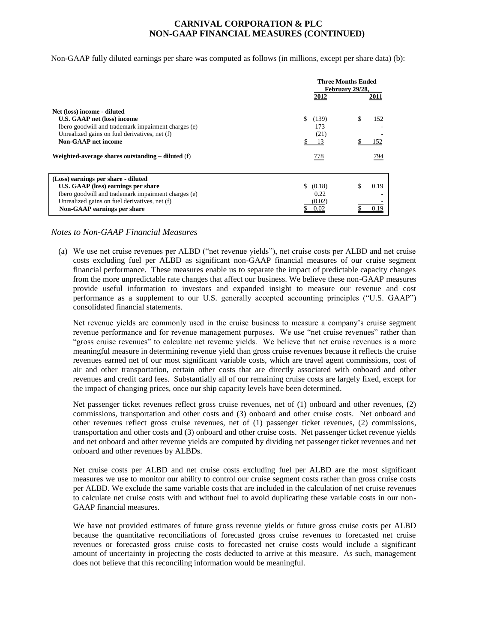#### **CARNIVAL CORPORATION & PLC NON-GAAP FINANCIAL MEASURES (CONTINUED)**

Non-GAAP fully diluted earnings per share was computed as follows (in millions, except per share data) (b):

|                                                       |              | <b>Three Months Ended</b><br>February 29/28. |  |
|-------------------------------------------------------|--------------|----------------------------------------------|--|
|                                                       | 2012         | 2011                                         |  |
| Net (loss) income - diluted                           |              |                                              |  |
| <b>U.S. GAAP net (loss) income</b>                    | \$<br>(139)  | \$<br>152                                    |  |
| Ibero goodwill and trademark impairment charges (e)   | 173          |                                              |  |
| Unrealized gains on fuel derivatives, net (f)         | (21)         |                                              |  |
| <b>Non-GAAP</b> net income                            | 13           | 152                                          |  |
| Weighted-average shares outstanding $-$ diluted $(f)$ | <u>778</u>   | <u>794</u>                                   |  |
| (Loss) earnings per share - diluted                   |              |                                              |  |
| U.S. GAAP (loss) earnings per share                   | \$<br>(0.18) | 0.19                                         |  |
| Ibero goodwill and trademark impairment charges (e)   | 0.22         |                                              |  |
| Unrealized gains on fuel derivatives, net (f)         | (0.02)       |                                              |  |
| Non-GAAP earnings per share                           | 0.02         |                                              |  |

*Notes to Non-GAAP Financial Measures*

(a) We use net cruise revenues per ALBD ("net revenue yields"), net cruise costs per ALBD and net cruise costs excluding fuel per ALBD as significant non-GAAP financial measures of our cruise segment financial performance. These measures enable us to separate the impact of predictable capacity changes from the more unpredictable rate changes that affect our business. We believe these non-GAAP measures provide useful information to investors and expanded insight to measure our revenue and cost performance as a supplement to our U.S. generally accepted accounting principles ("U.S. GAAP") consolidated financial statements.

Net revenue yields are commonly used in the cruise business to measure a company's cruise segment revenue performance and for revenue management purposes. We use "net cruise revenues" rather than "gross cruise revenues" to calculate net revenue yields. We believe that net cruise revenues is a more meaningful measure in determining revenue yield than gross cruise revenues because it reflects the cruise revenues earned net of our most significant variable costs, which are travel agent commissions, cost of air and other transportation, certain other costs that are directly associated with onboard and other revenues and credit card fees. Substantially all of our remaining cruise costs are largely fixed, except for the impact of changing prices, once our ship capacity levels have been determined.

Net passenger ticket revenues reflect gross cruise revenues, net of (1) onboard and other revenues, (2) commissions, transportation and other costs and (3) onboard and other cruise costs. Net onboard and other revenues reflect gross cruise revenues, net of (1) passenger ticket revenues, (2) commissions, transportation and other costs and (3) onboard and other cruise costs. Net passenger ticket revenue yields and net onboard and other revenue yields are computed by dividing net passenger ticket revenues and net onboard and other revenues by ALBDs.

Net cruise costs per ALBD and net cruise costs excluding fuel per ALBD are the most significant measures we use to monitor our ability to control our cruise segment costs rather than gross cruise costs per ALBD. We exclude the same variable costs that are included in the calculation of net cruise revenues to calculate net cruise costs with and without fuel to avoid duplicating these variable costs in our non-GAAP financial measures.

We have not provided estimates of future gross revenue yields or future gross cruise costs per ALBD because the quantitative reconciliations of forecasted gross cruise revenues to forecasted net cruise revenues or forecasted gross cruise costs to forecasted net cruise costs would include a significant amount of uncertainty in projecting the costs deducted to arrive at this measure. As such, management does not believe that this reconciling information would be meaningful.